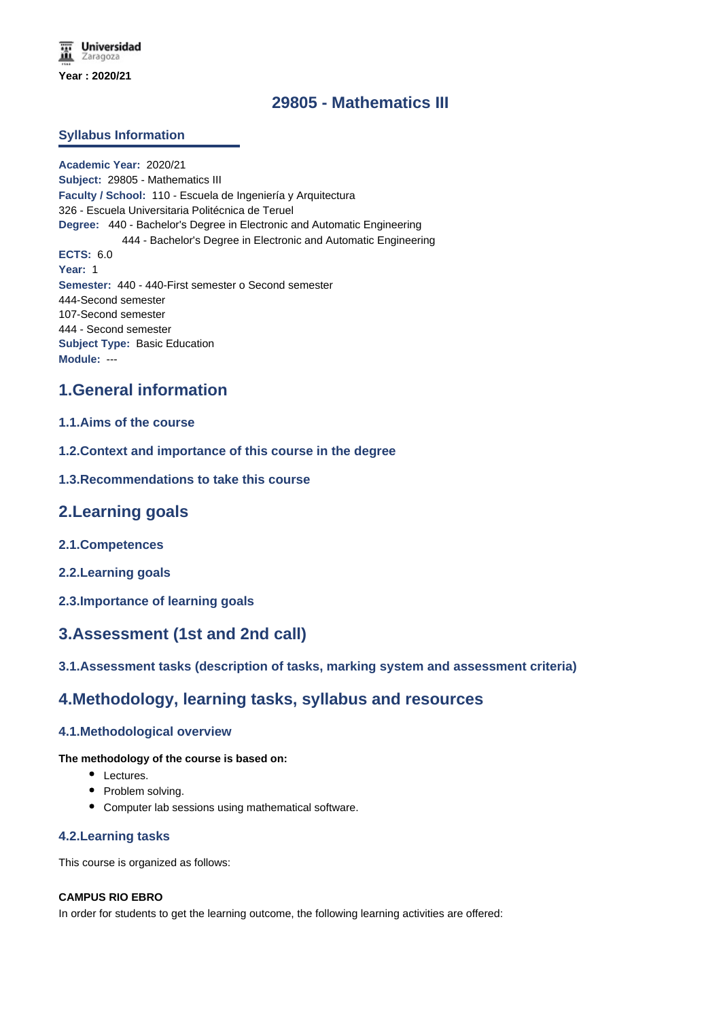# **29805 - Mathematics III**

## **Syllabus Information**

**Academic Year:** 2020/21 **Subject:** 29805 - Mathematics III **Faculty / School:** 110 - Escuela de Ingeniería y Arquitectura 326 - Escuela Universitaria Politécnica de Teruel **Degree:** 440 - Bachelor's Degree in Electronic and Automatic Engineering 444 - Bachelor's Degree in Electronic and Automatic Engineering **ECTS:** 6.0 **Year:** 1 **Semester:** 440 - 440-First semester o Second semester 444-Second semester 107-Second semester 444 - Second semester **Subject Type:** Basic Education **Module:** ---

## **1.General information**

## **1.1.Aims of the course**

**1.2.Context and importance of this course in the degree**

### **1.3.Recommendations to take this course**

## **2.Learning goals**

- **2.1.Competences**
- **2.2.Learning goals**
- **2.3.Importance of learning goals**

## **3.Assessment (1st and 2nd call)**

## **3.1.Assessment tasks (description of tasks, marking system and assessment criteria)**

## **4.Methodology, learning tasks, syllabus and resources**

#### **4.1.Methodological overview**

### **The methodology of the course is based on:**

- Lectures.
- Problem solving.
- Computer lab sessions using mathematical software.

#### **4.2.Learning tasks**

This course is organized as follows:

#### **CAMPUS RIO EBRO**

In order for students to get the learning outcome, the following learning activities are offered: